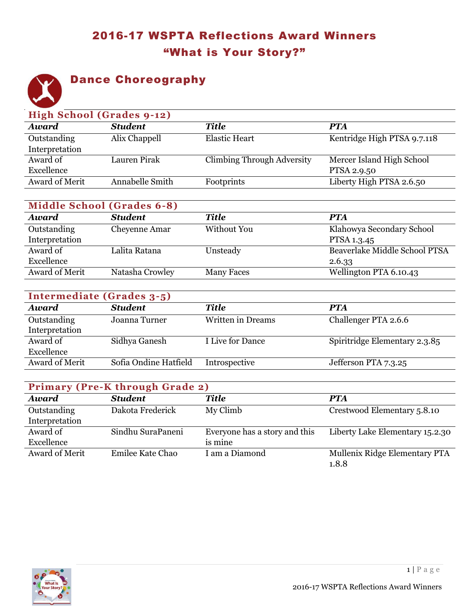## 2016-17 WSPTA Reflections Award Winners "What is Your Story?"



## Dance Choreography

| High School (Grades 9-12) |                 |                                   |                             |  |
|---------------------------|-----------------|-----------------------------------|-----------------------------|--|
| <b>Award</b>              | <b>Student</b>  | <b>Title</b>                      | <b>PTA</b>                  |  |
| Outstanding               | Alix Chappell   | <b>Elastic Heart</b>              | Kentridge High PTSA 9.7.118 |  |
| Interpretation            |                 |                                   |                             |  |
| Award of                  | Lauren Pirak    | <b>Climbing Through Adversity</b> | Mercer Island High School   |  |
| Excellence                |                 |                                   | PTSA 2.9.50                 |  |
| Award of Merit            | Annabelle Smith | Footprints                        | Liberty High PTSA 2.6.50    |  |
|                           |                 |                                   |                             |  |

| <b>Middle School (Grades 6-8)</b> |                 |                   |                               |  |
|-----------------------------------|-----------------|-------------------|-------------------------------|--|
| <b>Award</b>                      | <b>Student</b>  | <b>Title</b>      | <b>PTA</b>                    |  |
| Outstanding                       | Cheyenne Amar   | Without You       | Klahowya Secondary School     |  |
| Interpretation                    |                 |                   | PTSA 1.3.45                   |  |
| Award of                          | Lalita Ratana   | Unsteady          | Beaverlake Middle School PTSA |  |
| Excellence                        |                 |                   | 2.6.33                        |  |
| Award of Merit                    | Natasha Crowley | <b>Many Faces</b> | Wellington PTA 6.10.43        |  |

| Intermediate (Grades 3-5) |                       |                   |                               |  |
|---------------------------|-----------------------|-------------------|-------------------------------|--|
| <b>Award</b>              | <b>Student</b>        | Title             | <b>PTA</b>                    |  |
| Outstanding               | Joanna Turner         | Written in Dreams | Challenger PTA 2.6.6          |  |
| Interpretation            |                       |                   |                               |  |
| Award of                  | Sidhya Ganesh         | I Live for Dance  | Spiritridge Elementary 2.3.85 |  |
| Excellence                |                       |                   |                               |  |
| <b>Award of Merit</b>     | Sofia Ondine Hatfield | Introspective     | Jefferson PTA 7.3.25          |  |

| <b>Primary (Pre-K through Grade 2)</b> |                   |                               |                                 |  |
|----------------------------------------|-------------------|-------------------------------|---------------------------------|--|
| Award                                  | <b>Student</b>    | Title                         | <b>PTA</b>                      |  |
| Outstanding                            | Dakota Frederick  | My Climb                      | Crestwood Elementary 5.8.10     |  |
| Interpretation                         |                   |                               |                                 |  |
| Award of                               | Sindhu SuraPaneni | Everyone has a story and this | Liberty Lake Elementary 15.2.30 |  |
| Excellence                             |                   | is mine                       |                                 |  |
| Award of Merit                         | Emilee Kate Chao  | I am a Diamond                | Mullenix Ridge Elementary PTA   |  |
|                                        |                   |                               | 1.8.8                           |  |

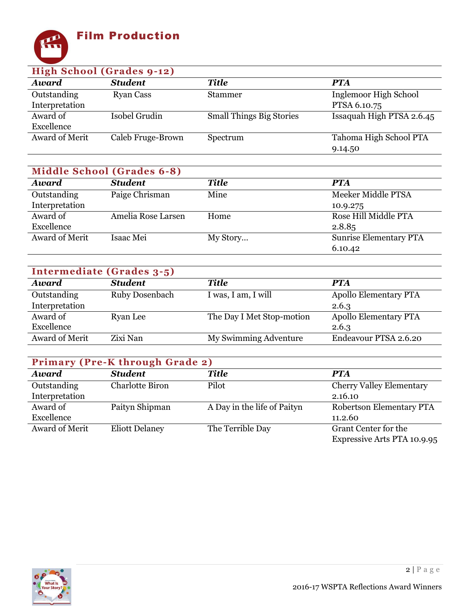

| High School (Grades 9-12) |                   |                                 |                           |  |
|---------------------------|-------------------|---------------------------------|---------------------------|--|
| <b>Award</b>              | <b>Student</b>    | Title                           | <b>PTA</b>                |  |
| Outstanding               | <b>Ryan Cass</b>  | <b>Stammer</b>                  | Inglemoor High School     |  |
| Interpretation            |                   |                                 | PTSA 6.10.75              |  |
| Award of                  | Isobel Grudin     | <b>Small Things Big Stories</b> | Issaquah High PTSA 2.6.45 |  |
| Excellence                |                   |                                 |                           |  |
| Award of Merit            | Caleb Fruge-Brown | Spectrum                        | Tahoma High School PTA    |  |
|                           |                   |                                 | 9.14.50                   |  |

| <b>Middle School (Grades 6-8)</b> |  |  |
|-----------------------------------|--|--|
|-----------------------------------|--|--|

| <b>Award</b>   | <b>Student</b>     | <b>Title</b> | <b>PTA</b>                    |
|----------------|--------------------|--------------|-------------------------------|
| Outstanding    | Paige Chrisman     | Mine         | Meeker Middle PTSA            |
| Interpretation |                    |              | 10.9.275                      |
| Award of       | Amelia Rose Larsen | Home         | Rose Hill Middle PTA          |
| Excellence     |                    |              | 2.8.85                        |
| Award of Merit | Isaac Mei          | My Story     | <b>Sunrise Elementary PTA</b> |
|                |                    |              | 6.10.42                       |

| Intermediate (Grades 3-5) |                |                           |                              |  |
|---------------------------|----------------|---------------------------|------------------------------|--|
| Award                     | <b>Student</b> | <b>Title</b>              | <b>PTA</b>                   |  |
| Outstanding               | Ruby Dosenbach | I was, I am, I will       | <b>Apollo Elementary PTA</b> |  |
| Interpretation            |                |                           | 2.6.3                        |  |
| Award of                  | Ryan Lee       | The Day I Met Stop-motion | <b>Apollo Elementary PTA</b> |  |
| Excellence                |                |                           | 2.6.3                        |  |
| Award of Merit            | Zixi Nan       | My Swimming Adventure     | Endeavour PTSA 2.6.20        |  |

| <b>Primary (Pre-K through Grade 2)</b> |                        |                             |                                    |  |
|----------------------------------------|------------------------|-----------------------------|------------------------------------|--|
| <b>Award</b>                           | <b>Student</b>         | <b>Title</b>                | <b>PTA</b>                         |  |
| Outstanding                            | <b>Charlotte Biron</b> | Pilot                       | <b>Cherry Valley Elementary</b>    |  |
| Interpretation                         |                        |                             | 2.16.10                            |  |
| Award of                               | Paityn Shipman         | A Day in the life of Paityn | Robertson Elementary PTA           |  |
| Excellence                             |                        |                             | 11.2.60                            |  |
| Award of Merit                         | <b>Eliott Delaney</b>  | The Terrible Day            | Grant Center for the               |  |
|                                        |                        |                             | <b>Expressive Arts PTA 10.9.95</b> |  |

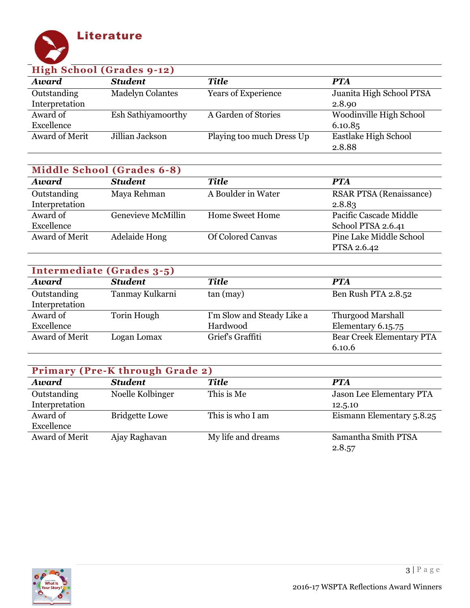

| High School (Grades 9-12) |                         |                            |                          |  |
|---------------------------|-------------------------|----------------------------|--------------------------|--|
| <b>Award</b>              | <b>Student</b>          | <b>Title</b>               | <b>PTA</b>               |  |
| Outstanding               | <b>Madelyn Colantes</b> | <b>Years of Experience</b> | Juanita High School PTSA |  |
| Interpretation            |                         |                            | 2.8.90                   |  |
| Award of                  | Esh Sathiyamoorthy      | A Garden of Stories        | Woodinville High School  |  |
| Excellence                |                         |                            | 6.10.85                  |  |
| Award of Merit            | Jillian Jackson         | Playing too much Dress Up  | Eastlake High School     |  |
|                           |                         |                            | 2.8.88                   |  |

| <b>Middle School (Grades 6-8)</b> |                           |                          |                                |  |
|-----------------------------------|---------------------------|--------------------------|--------------------------------|--|
| <b>Award</b>                      | <b>Student</b>            | <b>Title</b>             | <b>PTA</b>                     |  |
| Outstanding                       | Maya Rehman               | A Boulder in Water       | <b>RSAR PTSA (Renaissance)</b> |  |
| Interpretation                    |                           |                          | 2.8.83                         |  |
| Award of                          | <b>Genevieve McMillin</b> | <b>Home Sweet Home</b>   | Pacific Cascade Middle         |  |
| Excellence                        |                           |                          | School PTSA 2.6.41             |  |
| Award of Merit                    | Adelaide Hong             | <b>Of Colored Canyas</b> | <b>Pine Lake Middle School</b> |  |
|                                   |                           |                          | PTSA 2.6.42                    |  |

| Intermediate (Grades 3-5) |                 |                            |                                  |  |
|---------------------------|-----------------|----------------------------|----------------------------------|--|
| <b>Award</b>              | <b>Student</b>  | <b>Title</b>               | <b>PTA</b>                       |  |
| Outstanding               | Tanmay Kulkarni | tan (may)                  | Ben Rush PTA 2.8.52              |  |
| Interpretation            |                 |                            |                                  |  |
| Award of                  | Torin Hough     | I'm Slow and Steady Like a | <b>Thurgood Marshall</b>         |  |
| Excellence                |                 | Hardwood                   | Elementary 6.15.75               |  |
| Award of Merit            | Logan Lomax     | Grief's Graffiti           | <b>Bear Creek Elementary PTA</b> |  |
|                           |                 |                            | 6.10.6                           |  |

| <b>Primary (Pre-K through Grade 2)</b> |                       |                    |                           |  |
|----------------------------------------|-----------------------|--------------------|---------------------------|--|
| <b>Award</b>                           | <b>Student</b>        | <b>Title</b>       | <b>PTA</b>                |  |
| Outstanding                            | Noelle Kolbinger      | This is Me         | Jason Lee Elementary PTA  |  |
| Interpretation                         |                       |                    | 12.5.10                   |  |
| Award of                               | <b>Bridgette Lowe</b> | This is who I am   | Eismann Elementary 5.8.25 |  |
| Excellence                             |                       |                    |                           |  |
| <b>Award of Merit</b>                  | Ajay Raghavan         | My life and dreams | Samantha Smith PTSA       |  |
|                                        |                       |                    | 2.8.57                    |  |

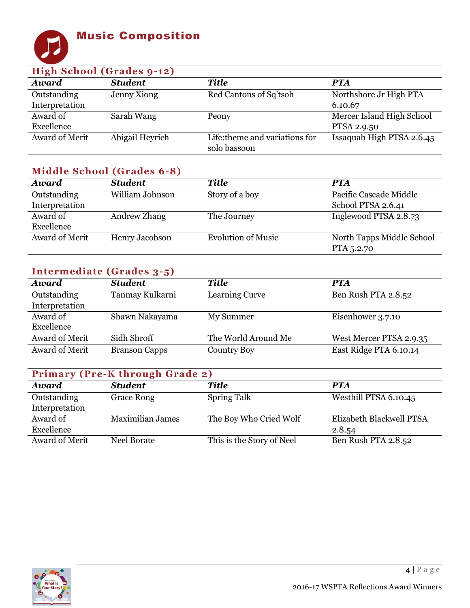## Music Composition



| High School (Grades 9-12) |                 |                                                |                           |  |
|---------------------------|-----------------|------------------------------------------------|---------------------------|--|
| <b>Award</b>              | <b>Student</b>  | <b>Title</b>                                   | <b>PTA</b>                |  |
| Outstanding               | Jenny Xiong     | Red Cantons of Sq'tsoh                         | Northshore Jr High PTA    |  |
| Interpretation            |                 |                                                | 6.10.67                   |  |
| Award of                  | Sarah Wang      | Peony                                          | Mercer Island High School |  |
| Excellence                |                 |                                                | PTSA 2.9.50               |  |
| Award of Merit            | Abigail Heyrich | Life: theme and variations for<br>solo bassoon | Issaquah High PTSA 2.6.45 |  |

| <b>Middle School (Grades 6-8)</b> |                 |                           |                           |  |
|-----------------------------------|-----------------|---------------------------|---------------------------|--|
| <b>Award</b>                      | <b>Student</b>  | <b>Title</b>              | <b>PTA</b>                |  |
| Outstanding                       | William Johnson | Story of a boy            | Pacific Cascade Middle    |  |
| Interpretation                    |                 |                           | School PTSA 2.6.41        |  |
| Award of                          | Andrew Zhang    | The Journey               | Inglewood PTSA 2.8.73     |  |
| Excellence                        |                 |                           |                           |  |
| Award of Merit                    | Henry Jacobson  | <b>Evolution of Music</b> | North Tapps Middle School |  |
|                                   |                 |                           | PTA 5.2.70                |  |

| Intermediate (Grades 3-5) |                      |                       |                         |  |
|---------------------------|----------------------|-----------------------|-------------------------|--|
| Award                     | <b>Student</b>       | <b>Title</b>          | <b>PTA</b>              |  |
| Outstanding               | Tanmay Kulkarni      | <b>Learning Curve</b> | Ben Rush PTA 2.8.52     |  |
| Interpretation            |                      |                       |                         |  |
| Award of                  | Shawn Nakayama       | My Summer             | Eisenhower 3.7.10       |  |
| Excellence                |                      |                       |                         |  |
| Award of Merit            | Sidh Shroff          | The World Around Me   | West Mercer PTSA 2.9.35 |  |
| Award of Merit            | <b>Branson Capps</b> | <b>Country Boy</b>    | East Ridge PTA 6.10.14  |  |

| <b>Primary (Pre-K through Grade 2)</b> |                         |                           |                          |  |
|----------------------------------------|-------------------------|---------------------------|--------------------------|--|
| <b>Award</b>                           | <b>Student</b>          | <b>Title</b>              | <b>PTA</b>               |  |
| Outstanding                            | <b>Grace Rong</b>       | <b>Spring Talk</b>        | Westhill PTSA 6.10.45    |  |
| Interpretation                         |                         |                           |                          |  |
| Award of                               | <b>Maximilian James</b> | The Boy Who Cried Wolf    | Elizabeth Blackwell PTSA |  |
| Excellence                             |                         |                           | 2.8.54                   |  |
| Award of Merit                         | Neel Borate             | This is the Story of Neel | Ben Rush PTA 2.8.52      |  |

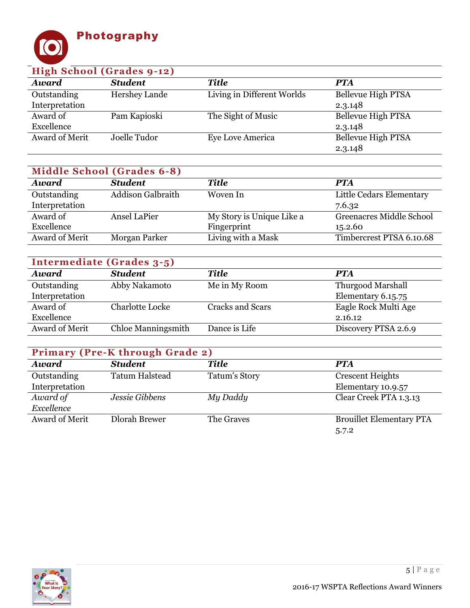

| High School (Grades 9-12) |                |                            |                    |  |
|---------------------------|----------------|----------------------------|--------------------|--|
| <b>Award</b>              | <b>Student</b> | <b>Title</b>               | <b>PTA</b>         |  |
| Outstanding               | Hershey Lande  | Living in Different Worlds | Bellevue High PTSA |  |
| Interpretation            |                |                            | 2.3.148            |  |
| Award of                  | Pam Kapioski   | The Sight of Music         | Bellevue High PTSA |  |
| Excellence                |                |                            | 2.3.148            |  |
| Award of Merit            | Joelle Tudor   | Eye Love America           | Bellevue High PTSA |  |
|                           |                |                            | 2.3.148            |  |

| <b>Middle School (Grades 6-8)</b> |                          |                           |                                 |  |
|-----------------------------------|--------------------------|---------------------------|---------------------------------|--|
| <b>Award</b>                      | <b>Student</b>           | <b>Title</b>              | <b>PTA</b>                      |  |
| Outstanding                       | <b>Addison Galbraith</b> | Woven In                  | Little Cedars Elementary        |  |
| Interpretation                    |                          |                           | 7.6.32                          |  |
| Award of                          | Ansel LaPier             | My Story is Unique Like a | <b>Greenacres Middle School</b> |  |
| Excellence                        |                          | Fingerprint               | 15.2.60                         |  |
| Award of Merit                    | Morgan Parker            | Living with a Mask        | Timbercrest PTSA 6.10.68        |  |

| Intermediate (Grades 3-5) |                           |                         |                          |  |
|---------------------------|---------------------------|-------------------------|--------------------------|--|
| <b>Award</b>              | <b>Student</b>            | <b>Title</b>            | <b>PTA</b>               |  |
| Outstanding               | Abby Nakamoto             | Me in My Room           | <b>Thurgood Marshall</b> |  |
| Interpretation            |                           |                         | Elementary 6.15.75       |  |
| Award of                  | <b>Charlotte Locke</b>    | <b>Cracks and Scars</b> | Eagle Rock Multi Age     |  |
| Excellence                |                           |                         | 2.16.12                  |  |
| Award of Merit            | <b>Chloe Manningsmith</b> | Dance is Life           | Discovery PTSA 2.6.9     |  |

| <b>Primary (Pre-K through Grade 2)</b> |                       |                      |                                 |  |
|----------------------------------------|-----------------------|----------------------|---------------------------------|--|
| <b>Award</b>                           | <b>Student</b>        | <b>Title</b>         | <b>PTA</b>                      |  |
| Outstanding                            | <b>Tatum Halstead</b> | <b>Tatum's Story</b> | <b>Crescent Heights</b>         |  |
| Interpretation                         |                       |                      | Elementary 10.9.57              |  |
| Award of                               | Jessie Gibbens        | My Daddy             | Clear Creek PTA 1.3.13          |  |
| Excellence                             |                       |                      |                                 |  |
| Award of Merit                         | <b>Dlorah Brewer</b>  | The Graves           | <b>Brouillet Elementary PTA</b> |  |
|                                        |                       |                      | 5.7.2                           |  |

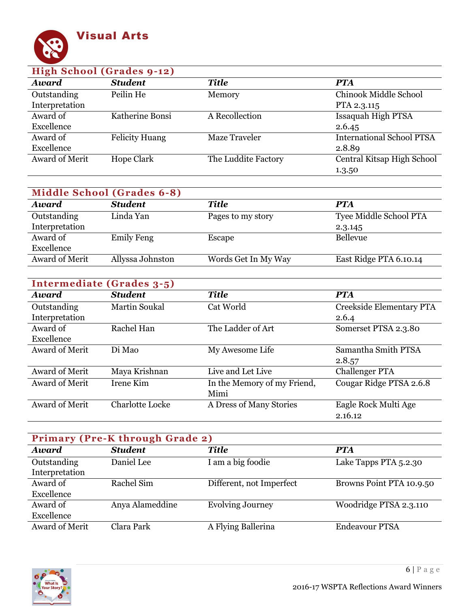

| <b>High School (Grades 9-12)</b> |                       |                     |                                  |
|----------------------------------|-----------------------|---------------------|----------------------------------|
| <b>Award</b>                     | <b>Student</b>        | <b>Title</b>        | <b>PTA</b>                       |
| Outstanding                      | Peilin He             | Memory              | <b>Chinook Middle School</b>     |
| Interpretation                   |                       |                     | PTA 2.3.115                      |
| Award of                         | Katherine Bonsi       | A Recollection      | Issaquah High PTSA               |
| Excellence                       |                       |                     | 2.6.45                           |
| Award of                         | <b>Felicity Huang</b> | Maze Traveler       | <b>International School PTSA</b> |
| Excellence                       |                       |                     | 2.8.89                           |
| <b>Award of Merit</b>            | <b>Hope Clark</b>     | The Luddite Factory | Central Kitsap High School       |
|                                  |                       |                     | 1.3.50                           |

| <b>Middle School (Grades 6-8)</b> |                   |                     |                        |  |
|-----------------------------------|-------------------|---------------------|------------------------|--|
| <b>Award</b>                      | <b>Student</b>    | <b>Title</b>        | <b>PTA</b>             |  |
| Outstanding                       | Linda Yan         | Pages to my story   | Tyee Middle School PTA |  |
| Interpretation                    |                   |                     | 2.3.145                |  |
| Award of                          | <b>Emily Feng</b> | Escape              | <b>Bellevue</b>        |  |
| Excellence                        |                   |                     |                        |  |
| Award of Merit                    | Allyssa Johnston  | Words Get In My Way | East Ridge PTA 6.10.14 |  |

| Intermediate (Grades 3-5) |                        |                             |                          |  |
|---------------------------|------------------------|-----------------------------|--------------------------|--|
| Award                     | <b>Student</b>         | <b>Title</b>                | <b>PTA</b>               |  |
| Outstanding               | <b>Martin Soukal</b>   | Cat World                   | Creekside Elementary PTA |  |
| Interpretation            |                        |                             | 2.6.4                    |  |
| Award of                  | Rachel Han             | The Ladder of Art           | Somerset PTSA 2.3.80     |  |
| Excellence                |                        |                             |                          |  |
| Award of Merit            | Di Mao                 | My Awesome Life             | Samantha Smith PTSA      |  |
|                           |                        |                             | 2.8.57                   |  |
| Award of Merit            | Maya Krishnan          | Live and Let Live           | <b>Challenger PTA</b>    |  |
| Award of Merit            | Irene Kim              | In the Memory of my Friend, | Cougar Ridge PTSA 2.6.8  |  |
|                           |                        | Mimi                        |                          |  |
| <b>Award of Merit</b>     | <b>Charlotte Locke</b> | A Dress of Many Stories     | Eagle Rock Multi Age     |  |
|                           |                        |                             | 2.16.12                  |  |

| <b>Primary (Pre-K through Grade 2)</b> |                 |                          |                          |
|----------------------------------------|-----------------|--------------------------|--------------------------|
| <b>Award</b>                           | <b>Student</b>  | <b>Title</b>             | <b>PTA</b>               |
| Outstanding                            | Daniel Lee      | I am a big foodie        | Lake Tapps PTA 5.2.30    |
| Interpretation                         |                 |                          |                          |
| Award of                               | Rachel Sim      | Different, not Imperfect | Browns Point PTA 10.9.50 |
| Excellence                             |                 |                          |                          |
| Award of                               | Anya Alameddine | <b>Evolving Journey</b>  | Woodridge PTSA 2.3.110   |
| Excellence                             |                 |                          |                          |
| <b>Award of Merit</b>                  | Clara Park      | A Flying Ballerina       | <b>Endeavour PTSA</b>    |